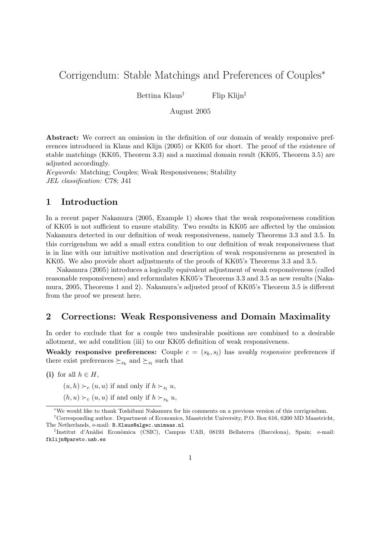# Corrigendum: Stable Matchings and Preferences of Couples<sup>∗</sup>

Bettina Klaus<sup>†</sup> Flip Klijn<sup>‡</sup>

August 2005

Abstract: We correct an omission in the definition of our domain of weakly responsive preferences introduced in Klaus and Klijn (2005) or KK05 for short. The proof of the existence of stable matchings (KK05, Theorem 3.3) and a maximal domain result (KK05, Theorem 3.5) are adjusted accordingly.

Keywords: Matching; Couples; Weak Responsiveness; Stability JEL classification: C78; J41

### 1 Introduction

In a recent paper Nakamura (2005, Example 1) shows that the weak responsiveness condition of KK05 is not sufficient to ensure stability. Two results in KK05 are affected by the omission Nakamura detected in our definition of weak responsiveness, namely Theorems 3.3 and 3.5. In this corrigendum we add a small extra condition to our definition of weak responsiveness that is in line with our intuitive motivation and description of weak responsiveness as presented in KK05. We also provide short adjustments of the proofs of KK05's Theorems 3.3 and 3.5.

Nakamura (2005) introduces a logically equivalent adjustment of weak responsiveness (called reasonable responsiveness) and reformulates KK05's Theorems 3.3 and 3.5 as new results (Nakamura, 2005, Theorems 1 and 2). Nakamura's adjusted proof of KK05's Theorem 3.5 is different from the proof we present here.

## 2 Corrections: Weak Responsiveness and Domain Maximality

In order to exclude that for a couple two undesirable positions are combined to a desirable allotment, we add condition (iii) to our KK05 definition of weak responsiveness.

Weakly responsive preferences: Couple  $c = (s_k, s_l)$  has weakly responsive preferences if there exist preferences  $\succeq_{s_k}$  and  $\succeq_{s_l}$  such that

(i) for all  $h \in H$ ,

 $(u, h) \succ_c (u, u)$  if and only if  $h \succ_{s_l} u$ ,

 $(h, u) \succ_c (u, u)$  if and only if  $h \succ_{s_k} u$ ,

<sup>∗</sup>We would like to thank Toshifumi Nakamura for his comments on a previous version of this corrigendum.

<sup>†</sup>Corresponding author. Department of Economics, Maastricht University, P.O. Box 616, 6200 MD Maastricht, The Netherlands, e-mail: B.Klaus@algec.unimaas.nl

<sup>‡</sup> Institut d'An`alisi Econ`omica (CSIC), Campus UAB, 08193 Bellaterra (Barcelona), Spain; e-mail: fklijn@pareto.uab.es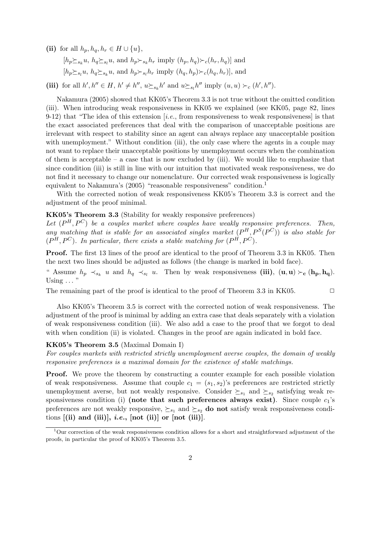(ii) for all  $h_p, h_q, h_r \in H \cup \{u\},\$ 

 $[h_p \succeq_{s_k} u, h_q \succeq_{s_l} u, \text{ and } h_p \succeq_{s_k} h_r \text{ imply } (h_p, h_q) \succeq_c (h_r, h_q)]$  and  $[h_p \succeq_{s_l} u, h_q \succeq_{s_k} u, \text{ and } h_p \succeq_{s_l} h_r \text{ imply } (h_q, h_p) \succeq_c (h_q, h_r)], \text{ and}$ 

(iii) for all  $h', h'' \in H$ ,  $h' \neq h''$ ,  $u \succeq_{s_k} h'$  and  $u \succeq_{s_l} h''$  imply  $(u, u) \succ_c (h', h'')$ .

Nakamura (2005) showed that KK05's Theorem 3.3 is not true without the omitted condition (iii). When introducing weak responsiveness in KK05 we explained (see KK05, page 82, lines 9-12) that "The idea of this extension [i.e., from responsiveness to weak responsiveness] is that the exact associated preferences that deal with the comparison of unacceptable positions are irrelevant with respect to stability since an agent can always replace any unacceptable position with unemployment." Without condition (iii), the only case where the agents in a couple may not want to replace their unacceptable positions by unemployment occurs when the combination of them is acceptable – a case that is now excluded by  $(iii)$ . We would like to emphasize that since condition (iii) is still in line with our intuition that motivated weak responsiveness, we do not find it necessary to change our nomenclature. Our corrected weak responsiveness is logically equivalent to Nakamura's (2005) "reasonable responsiveness" condition.<sup>1</sup>

With the corrected notion of weak responsiveness KK05's Theorem 3.3 is correct and the adjustment of the proof minimal.

#### KK05's Theorem 3.3 (Stability for weakly responsive preferences)

Let  $(P^H, P^C)$  be a couples market where couples have weakly responsive preferences. Then, any matching that is stable for an associated singles market  $(P^H, P^S(P^C))$  is also stable for  $(P^H, P^C)$ . In particular, there exists a stable matching for  $(P^H, P^C)$ .

Proof. The first 13 lines of the proof are identical to the proof of Theorem 3.3 in KK05. Then the next two lines should be adjusted as follows (the change is marked in bold face).

" Assume  $h_p \prec_{s_k} u$  and  $h_q \prec_{s_l} u$ . Then by weak responsiveness (iii),  $(\mathbf{u}, \mathbf{u}) \succ_{\mathbf{c}} (\mathbf{h_p}, \mathbf{h_q})$ . Using  $\ldots$ "

The remaining part of the proof is identical to the proof of Theorem 3.3 in KK05.  $\Box$ 

Also KK05's Theorem 3.5 is correct with the corrected notion of weak responsiveness. The adjustment of the proof is minimal by adding an extra case that deals separately with a violation of weak responsiveness condition (iii). We also add a case to the proof that we forgot to deal with when condition (ii) is violated. Changes in the proof are again indicated in bold face.

#### KK05's Theorem 3.5 (Maximal Domain I)

For couples markets with restricted strictly unemployment averse couples, the domain of weakly responsive preferences is a maximal domain for the existence of stable matchings.

**Proof.** We prove the theorem by constructing a counter example for each possible violation of weak responsiveness. Assume that couple  $c_1 = (s_1, s_2)$ 's preferences are restricted strictly unemployment averse, but not weakly responsive. Consider  $\succeq_{s_1}$  and  $\succeq_{s_2}$  satisfying weak responsiveness condition (i) (note that such preferences always exist). Since couple  $c_1$ 's preferences are not weakly responsive,  $\succeq_{s_1}$  and  $\succeq_{s_2}$  do not satisfy weak responsiveness conditions  $[(ii)$  and  $(iii)], i.e., [not (ii)]$  or  $[not (iii)].$ 

 $\overline{1\text{Our correction of the weak responses condition allows for a short and straightforward adjustment of the model.}$ proofs, in particular the proof of KK05's Theorem 3.5.